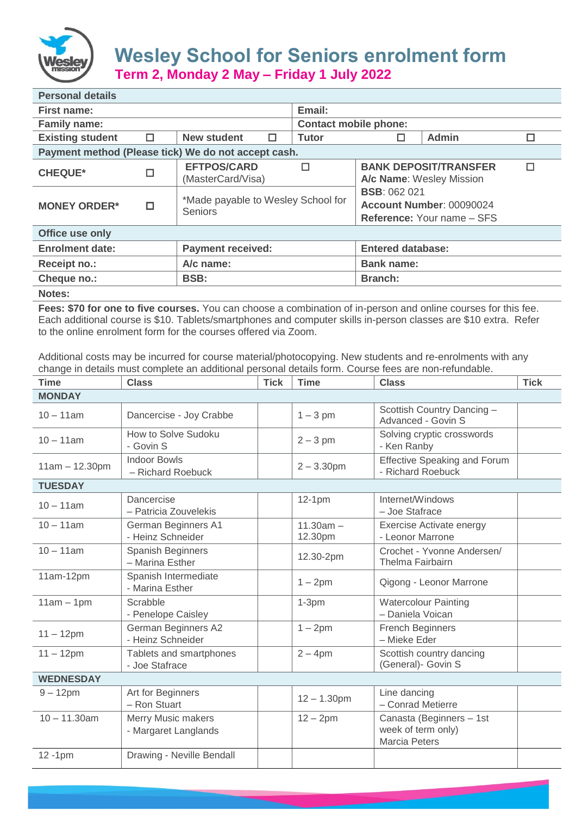

## **Wesley School for Seniors enrolment form Term 2, Monday 2 May – Friday 1 July 2022**

| <b>Personal details</b>                             |        |                                                   |   |                                                                                      |                          |       |   |  |
|-----------------------------------------------------|--------|---------------------------------------------------|---|--------------------------------------------------------------------------------------|--------------------------|-------|---|--|
| First name:                                         |        |                                                   |   | Email:                                                                               |                          |       |   |  |
| <b>Family name:</b>                                 |        |                                                   |   | <b>Contact mobile phone:</b>                                                         |                          |       |   |  |
| <b>Existing student</b>                             | $\Box$ | <b>New student</b>                                | 0 | <b>Tutor</b>                                                                         | □                        | Admin | □ |  |
| Payment method (Please tick) We do not accept cash. |        |                                                   |   |                                                                                      |                          |       |   |  |
| <b>CHEQUE*</b>                                      | $\Box$ | <b>EFTPOS/CARD</b><br>$\Box$<br>(MasterCard/Visa) |   | <b>BANK DEPOSIT/TRANSFER</b><br>П<br>A/c Name: Wesley Mission                        |                          |       |   |  |
| <b>MONEY ORDER*</b>                                 | $\Box$ | *Made payable to Wesley School for<br>Seniors     |   | <b>BSB: 062 021</b><br>Account Number: 00090024<br><b>Reference: Your name – SFS</b> |                          |       |   |  |
| Office use only                                     |        |                                                   |   |                                                                                      |                          |       |   |  |
| <b>Enrolment date:</b>                              |        | <b>Payment received:</b>                          |   |                                                                                      | <b>Entered database:</b> |       |   |  |
| <b>Receipt no.:</b>                                 |        | A/c name:                                         |   |                                                                                      | <b>Bank name:</b>        |       |   |  |
| Cheque no.:                                         |        | <b>BSB:</b>                                       |   |                                                                                      | <b>Branch:</b>           |       |   |  |
| <b>Notes:</b>                                       |        |                                                   |   |                                                                                      |                          |       |   |  |

**Fees: \$70 for one to five courses.** You can choose a combination of in-person and online courses for this fee. Each additional course is \$10. Tablets/smartphones and computer skills in-person classes are \$10 extra. Refer to the online enrolment form for the courses offered via Zoom.

Additional costs may be incurred for course material/photocopying. New students and re-enrolments with any change in details must complete an additional personal details form. Course fees are non-refundable.

| Time             | <b>Class</b>                                      | <b>Tick</b> | <b>Time</b>            | <b>Class</b>                                                           | <b>Tick</b> |  |  |
|------------------|---------------------------------------------------|-------------|------------------------|------------------------------------------------------------------------|-------------|--|--|
| <b>MONDAY</b>    |                                                   |             |                        |                                                                        |             |  |  |
| $10 - 11$ am     | Dancercise - Joy Crabbe                           |             | $1 - 3$ pm             | Scottish Country Dancing -<br>Advanced - Govin S                       |             |  |  |
| $10 - 11$ am     | How to Solve Sudoku<br>- Govin S                  |             | $2 - 3$ pm             | Solving cryptic crosswords<br>- Ken Ranby                              |             |  |  |
| $11am - 12.30pm$ | <b>Indoor Bowls</b><br>- Richard Roebuck          |             | $2 - 3.30$ pm          | <b>Effective Speaking and Forum</b><br>- Richard Roebuck               |             |  |  |
| <b>TUESDAY</b>   |                                                   |             |                        |                                                                        |             |  |  |
| $10 - 11$ am     | Dancercise<br>- Patricia Zouvelekis               |             | $12-1pm$               | Internet/Windows<br>- Joe Stafrace                                     |             |  |  |
| $10 - 11$ am     | German Beginners A1<br>- Heinz Schneider          |             | $11.30am -$<br>12.30pm | Exercise Activate energy<br>- Leonor Marrone                           |             |  |  |
| $10 - 11$ am     | Spanish Beginners<br>- Marina Esther              |             | 12.30-2pm              | Crochet - Yvonne Andersen/<br>Thelma Fairbairn                         |             |  |  |
| 11am-12pm        | Spanish Intermediate<br>- Marina Esther           |             | $1 - 2pm$              | Qigong - Leonor Marrone                                                |             |  |  |
| $11am - 1pm$     | Scrabble<br>- Penelope Caisley                    |             | $1-3pm$                | <b>Watercolour Painting</b><br>- Daniela Voican                        |             |  |  |
| $11 - 12$ pm     | German Beginners A2<br>- Heinz Schneider          |             | $1 - 2pm$              | <b>French Beginners</b><br>- Mieke Eder                                |             |  |  |
| $11 - 12$ pm     | Tablets and smartphones<br>- Joe Stafrace         |             | $2 - 4$ pm             | Scottish country dancing<br>(General)- Govin S                         |             |  |  |
| <b>WEDNESDAY</b> |                                                   |             |                        |                                                                        |             |  |  |
| $9 - 12$ pm      | Art for Beginners<br>- Ron Stuart                 |             | $12 - 1.30$ pm         | Line dancing<br>- Conrad Metierre                                      |             |  |  |
| $10 - 11.30$ am  | <b>Merry Music makers</b><br>- Margaret Langlands |             | $12 - 2$ pm            | Canasta (Beginners - 1st<br>week of term only)<br><b>Marcia Peters</b> |             |  |  |
| $12 - 1pm$       | Drawing - Neville Bendall                         |             |                        |                                                                        |             |  |  |